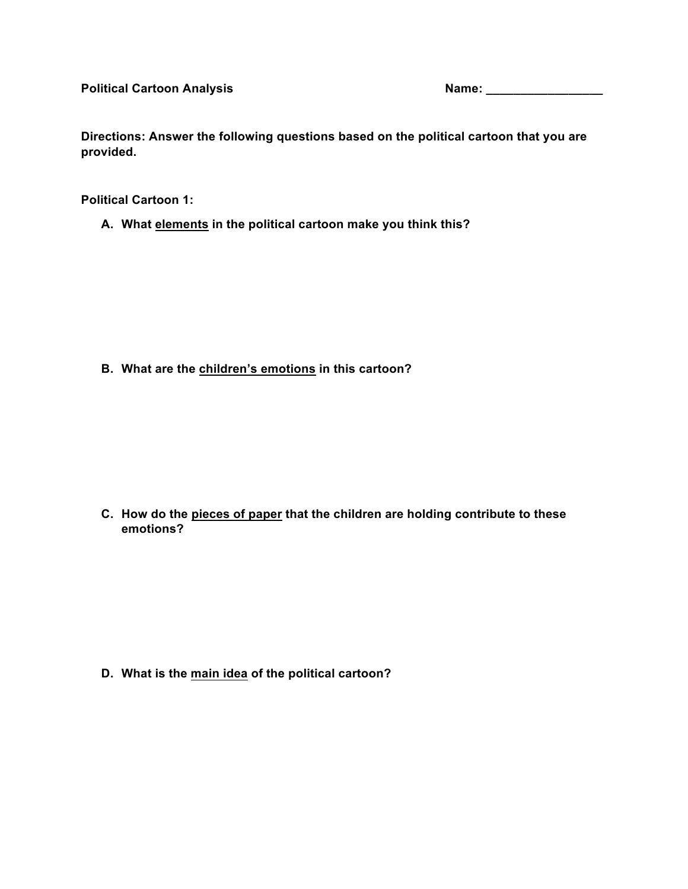**Directions: Answer the following questions based on the political cartoon that you are provided.** 

**Political Cartoon 1:** 

**A. What elements in the political cartoon make you think this?** 

**B. What are the children's emotions in this cartoon?**

**C. How do the pieces of paper that the children are holding contribute to these emotions?**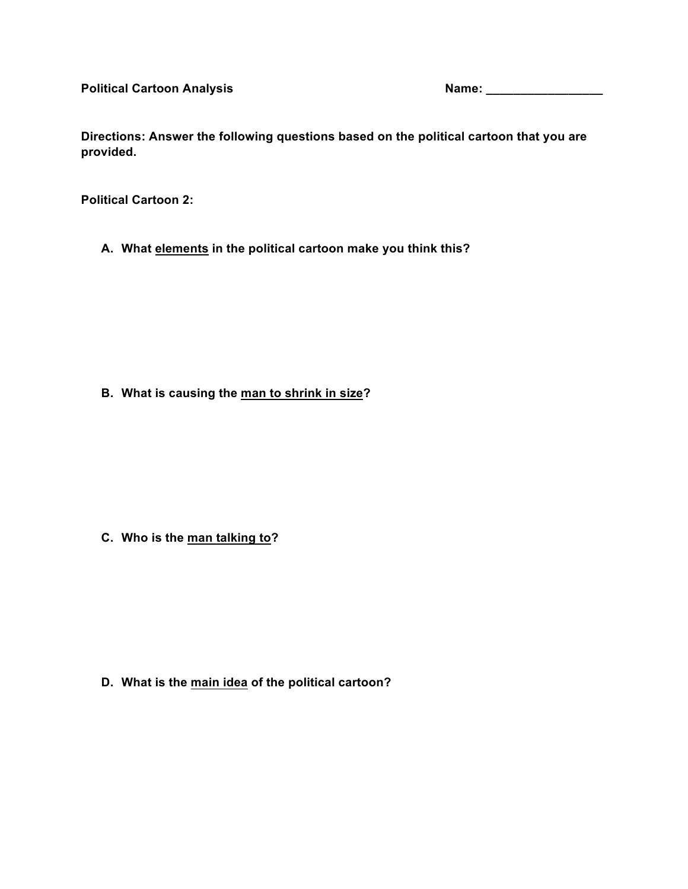**Directions: Answer the following questions based on the political cartoon that you are provided.** 

**Political Cartoon 2:**

**A. What elements in the political cartoon make you think this?** 

**B. What is causing the man to shrink in size?**

**C. Who is the man talking to?**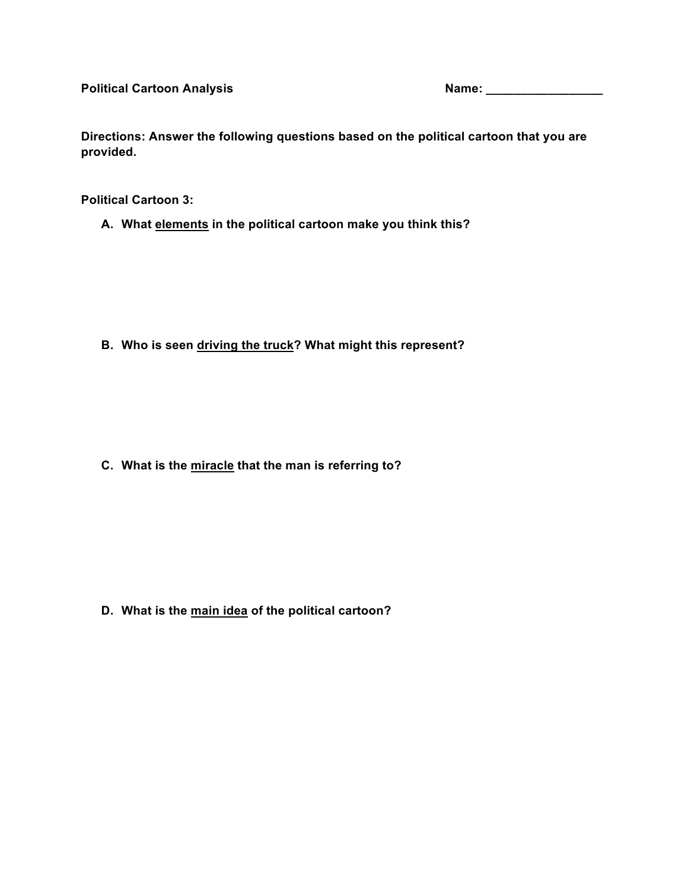**Directions: Answer the following questions based on the political cartoon that you are provided.** 

**Political Cartoon 3:** 

**A. What elements in the political cartoon make you think this?** 

**B. Who is seen driving the truck? What might this represent?**

**C. What is the miracle that the man is referring to?**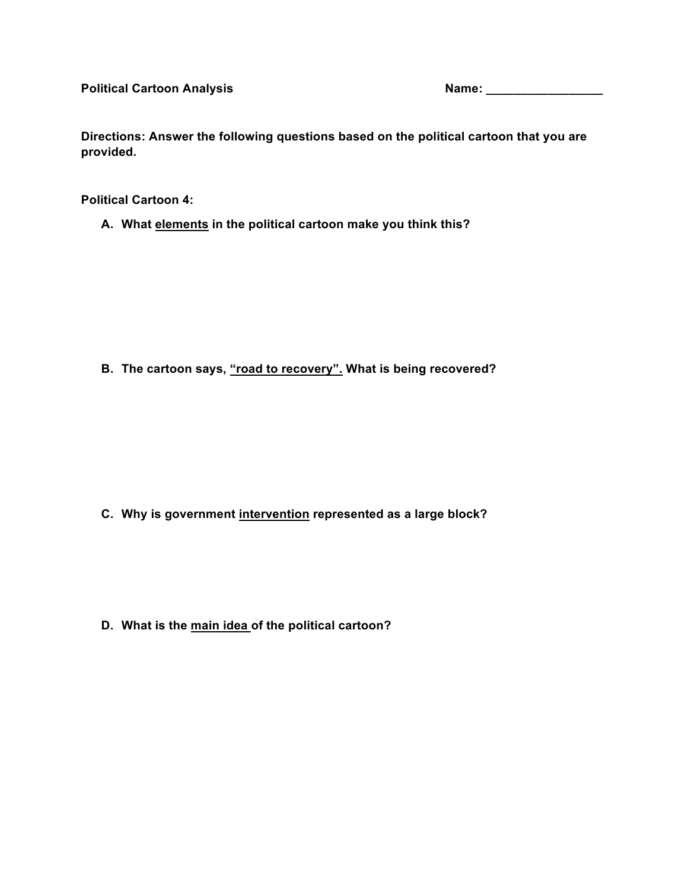**Directions: Answer the following questions based on the political cartoon that you are provided.** 

**Political Cartoon 4:** 

**A. What elements in the political cartoon make you think this?** 

**B. The cartoon says, "road to recovery". What is being recovered?**

**C. Why is government intervention represented as a large block?**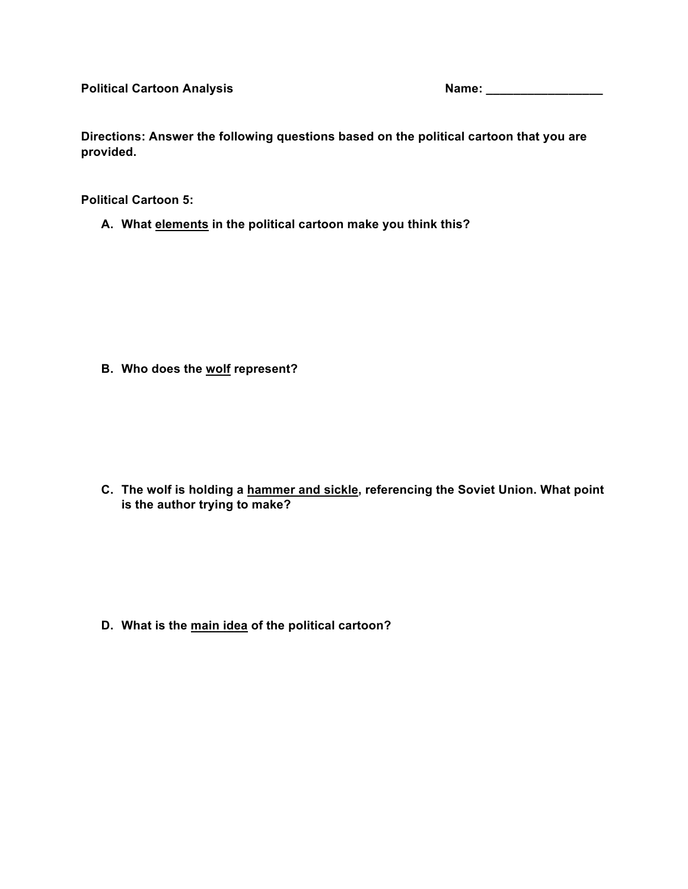Political Cartoon Analysis **Name:** Name: Name: Name: Name: Name: Name: Name: Name: Name: Name: Name: Name: Name: Name: Name: Name: Name: Name: Name: Name: Name: Name: Name: Name: Name: Name: Name: Name: Name: Name: Name: N

**Directions: Answer the following questions based on the political cartoon that you are provided.** 

**Political Cartoon 5:**

**A. What elements in the political cartoon make you think this?** 

**B. Who does the wolf represent?**

**C. The wolf is holding a hammer and sickle, referencing the Soviet Union. What point is the author trying to make?**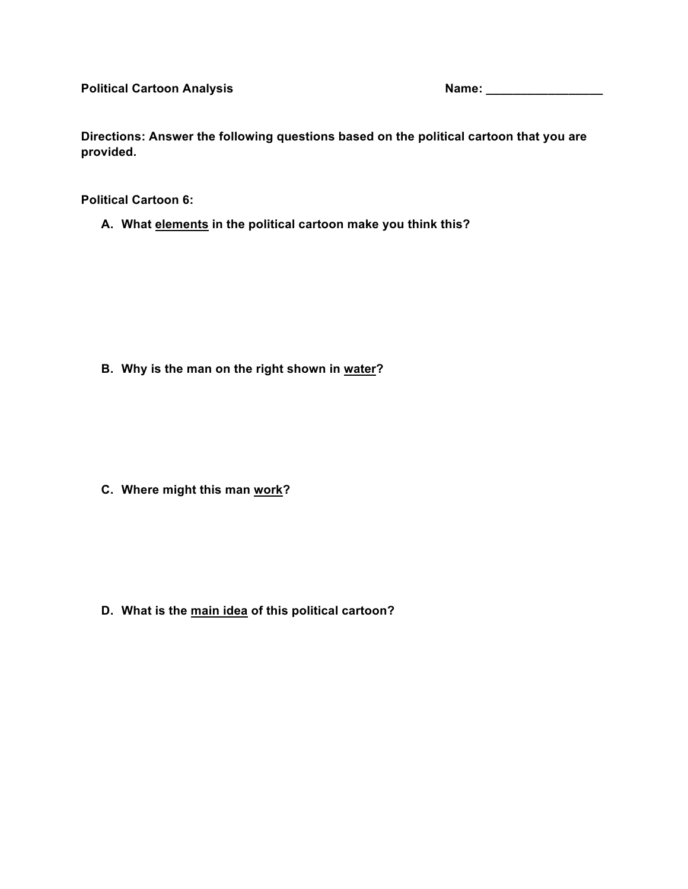**Directions: Answer the following questions based on the political cartoon that you are provided.** 

**Political Cartoon 6:** 

**A. What elements in the political cartoon make you think this?** 

**B. Why is the man on the right shown in water?**

**C. Where might this man work?**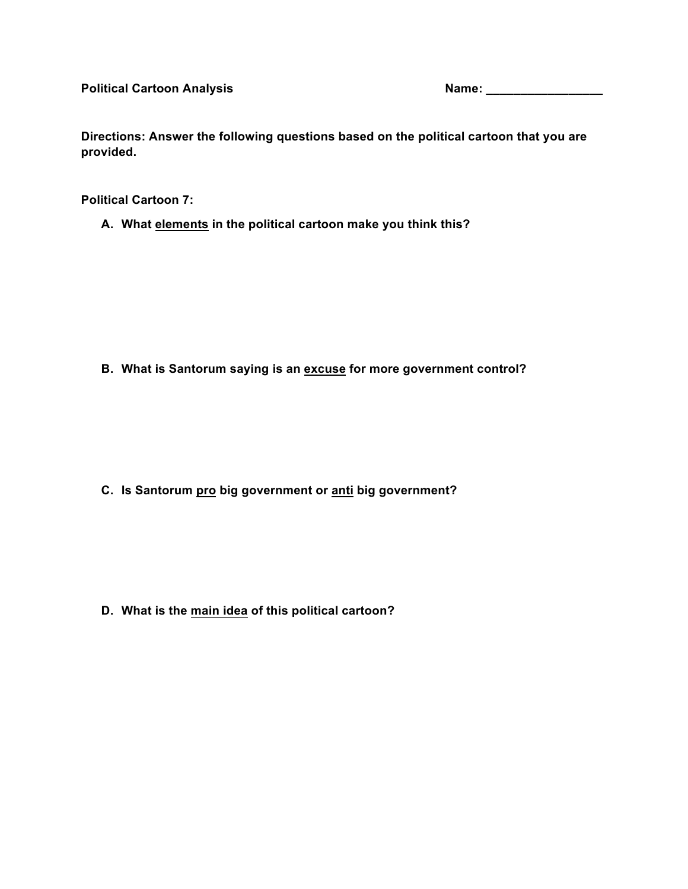**Directions: Answer the following questions based on the political cartoon that you are provided.** 

**Political Cartoon 7:** 

**A. What elements in the political cartoon make you think this?** 

**B. What is Santorum saying is an excuse for more government control?**

**C. Is Santorum pro big government or anti big government?**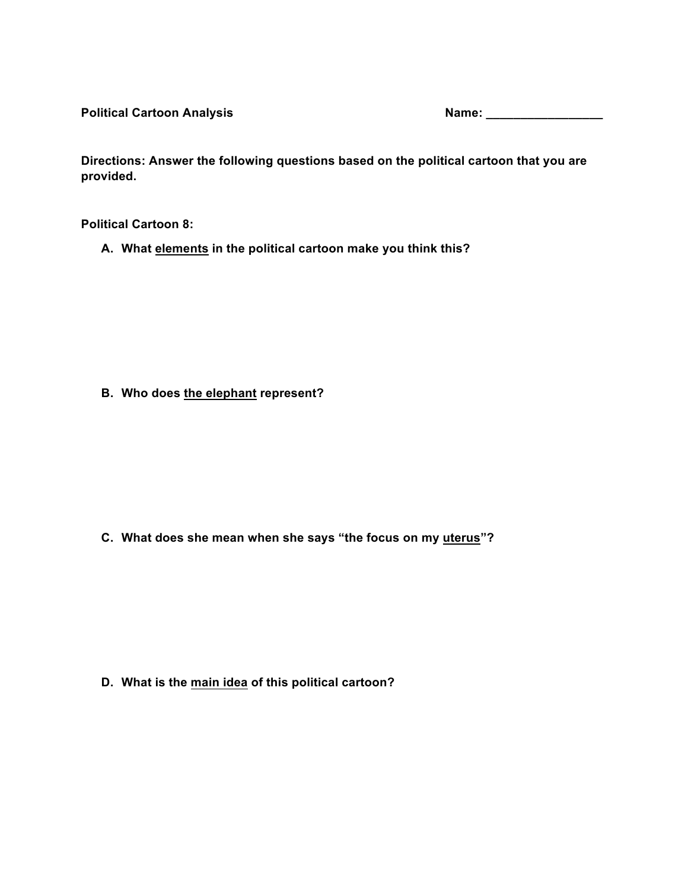Political Cartoon Analysis **Name:** Name: Name: Name: Name: Name: Name: Name: Name: Name: Name: Name: Name: Name: Name: Name: Name: Name: Name: Name: Name: Name: Name: Name: Name: Name: Name: Name: Name: Name: Name: Name: N

**Directions: Answer the following questions based on the political cartoon that you are provided.** 

**Political Cartoon 8:** 

**A. What elements in the political cartoon make you think this?** 

**B. Who does the elephant represent?**

**C. What does she mean when she says "the focus on my uterus"?**